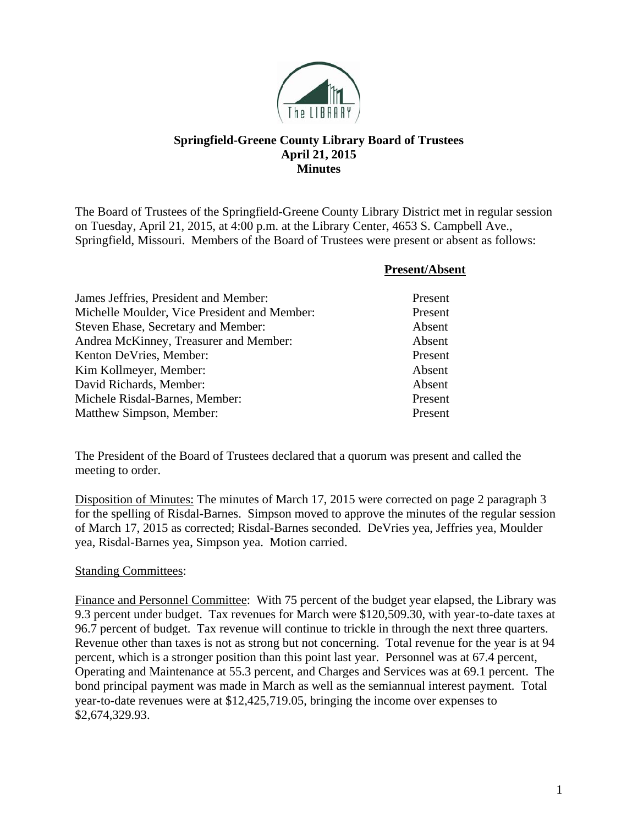

## **Springfield-Greene County Library Board of Trustees April 21, 2015 Minutes**

The Board of Trustees of the Springfield-Greene County Library District met in regular session on Tuesday, April 21, 2015, at 4:00 p.m. at the Library Center, 4653 S. Campbell Ave., Springfield, Missouri. Members of the Board of Trustees were present or absent as follows:

|                                              | <b>Present/Absent</b> |
|----------------------------------------------|-----------------------|
| James Jeffries, President and Member:        | Present               |
| Michelle Moulder, Vice President and Member: | Present               |
| Steven Ehase, Secretary and Member:          | Absent                |
| Andrea McKinney, Treasurer and Member:       | Absent                |
| Kenton DeVries, Member:                      | Present               |
| Kim Kollmeyer, Member:                       | Absent                |
| David Richards, Member:                      | Absent                |
| Michele Risdal-Barnes, Member:               | Present               |
| Matthew Simpson, Member:                     | Present               |

The President of the Board of Trustees declared that a quorum was present and called the meeting to order.

Disposition of Minutes: The minutes of March 17, 2015 were corrected on page 2 paragraph 3 for the spelling of Risdal-Barnes. Simpson moved to approve the minutes of the regular session of March 17, 2015 as corrected; Risdal-Barnes seconded. DeVries yea, Jeffries yea, Moulder yea, Risdal-Barnes yea, Simpson yea. Motion carried.

## Standing Committees:

Finance and Personnel Committee: With 75 percent of the budget year elapsed, the Library was 9.3 percent under budget. Tax revenues for March were \$120,509.30, with year-to-date taxes at 96.7 percent of budget. Tax revenue will continue to trickle in through the next three quarters. Revenue other than taxes is not as strong but not concerning. Total revenue for the year is at 94 percent, which is a stronger position than this point last year. Personnel was at 67.4 percent, Operating and Maintenance at 55.3 percent, and Charges and Services was at 69.1 percent. The bond principal payment was made in March as well as the semiannual interest payment. Total year-to-date revenues were at \$12,425,719.05, bringing the income over expenses to \$2,674,329.93.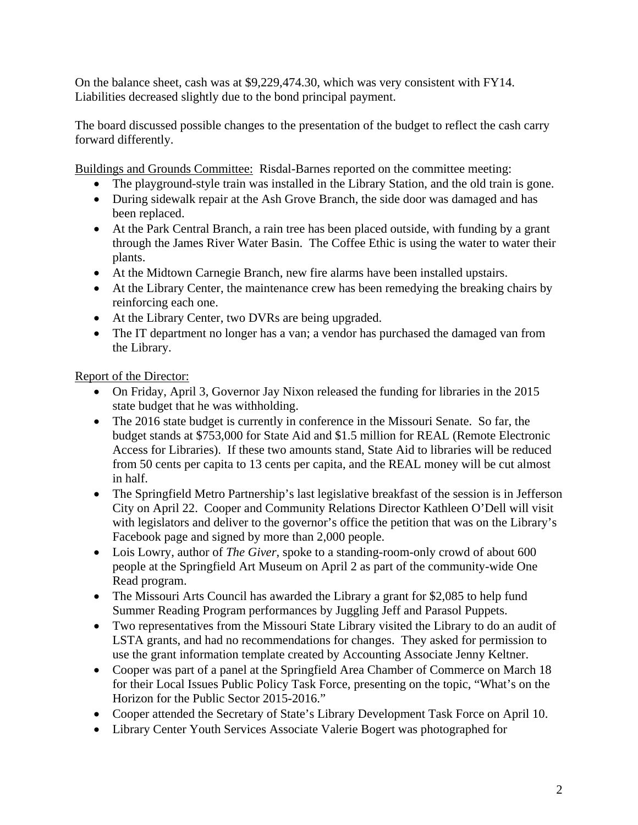On the balance sheet, cash was at \$9,229,474.30, which was very consistent with FY14. Liabilities decreased slightly due to the bond principal payment.

The board discussed possible changes to the presentation of the budget to reflect the cash carry forward differently.

Buildings and Grounds Committee: Risdal-Barnes reported on the committee meeting:

- The playground-style train was installed in the Library Station, and the old train is gone.
- During sidewalk repair at the Ash Grove Branch, the side door was damaged and has been replaced.
- At the Park Central Branch, a rain tree has been placed outside, with funding by a grant through the James River Water Basin. The Coffee Ethic is using the water to water their plants.
- At the Midtown Carnegie Branch, new fire alarms have been installed upstairs.
- At the Library Center, the maintenance crew has been remedying the breaking chairs by reinforcing each one.
- At the Library Center, two DVRs are being upgraded.
- The IT department no longer has a van; a vendor has purchased the damaged van from the Library.

Report of the Director:

- On Friday, April 3, Governor Jay Nixon released the funding for libraries in the 2015 state budget that he was withholding.
- The 2016 state budget is currently in conference in the Missouri Senate. So far, the budget stands at \$753,000 for State Aid and \$1.5 million for REAL (Remote Electronic Access for Libraries). If these two amounts stand, State Aid to libraries will be reduced from 50 cents per capita to 13 cents per capita, and the REAL money will be cut almost in half.
- The Springfield Metro Partnership's last legislative breakfast of the session is in Jefferson City on April 22. Cooper and Community Relations Director Kathleen O'Dell will visit with legislators and deliver to the governor's office the petition that was on the Library's Facebook page and signed by more than 2,000 people.
- Lois Lowry, author of *The Giver*, spoke to a standing-room-only crowd of about 600 people at the Springfield Art Museum on April 2 as part of the community-wide One Read program.
- The Missouri Arts Council has awarded the Library a grant for \$2,085 to help fund Summer Reading Program performances by Juggling Jeff and Parasol Puppets.
- Two representatives from the Missouri State Library visited the Library to do an audit of LSTA grants, and had no recommendations for changes. They asked for permission to use the grant information template created by Accounting Associate Jenny Keltner.
- Cooper was part of a panel at the Springfield Area Chamber of Commerce on March 18 for their Local Issues Public Policy Task Force, presenting on the topic, "What's on the Horizon for the Public Sector 2015-2016."
- Cooper attended the Secretary of State's Library Development Task Force on April 10.
- Library Center Youth Services Associate Valerie Bogert was photographed for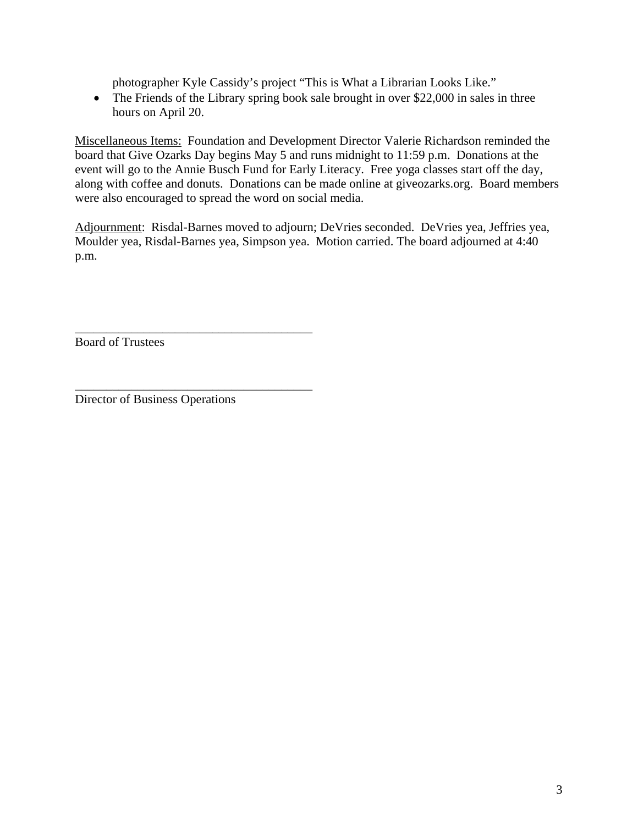photographer Kyle Cassidy's project "This is What a Librarian Looks Like."

• The Friends of the Library spring book sale brought in over \$22,000 in sales in three hours on April 20.

Miscellaneous Items: Foundation and Development Director Valerie Richardson reminded the board that Give Ozarks Day begins May 5 and runs midnight to 11:59 p.m. Donations at the event will go to the Annie Busch Fund for Early Literacy. Free yoga classes start off the day, along with coffee and donuts. Donations can be made online at giveozarks.org. Board members were also encouraged to spread the word on social media.

Adjournment: Risdal-Barnes moved to adjourn; DeVries seconded. DeVries yea, Jeffries yea, Moulder yea, Risdal-Barnes yea, Simpson yea. Motion carried. The board adjourned at 4:40 p.m.

Board of Trustees

Director of Business Operations

\_\_\_\_\_\_\_\_\_\_\_\_\_\_\_\_\_\_\_\_\_\_\_\_\_\_\_\_\_\_\_\_\_\_\_\_\_\_

\_\_\_\_\_\_\_\_\_\_\_\_\_\_\_\_\_\_\_\_\_\_\_\_\_\_\_\_\_\_\_\_\_\_\_\_\_\_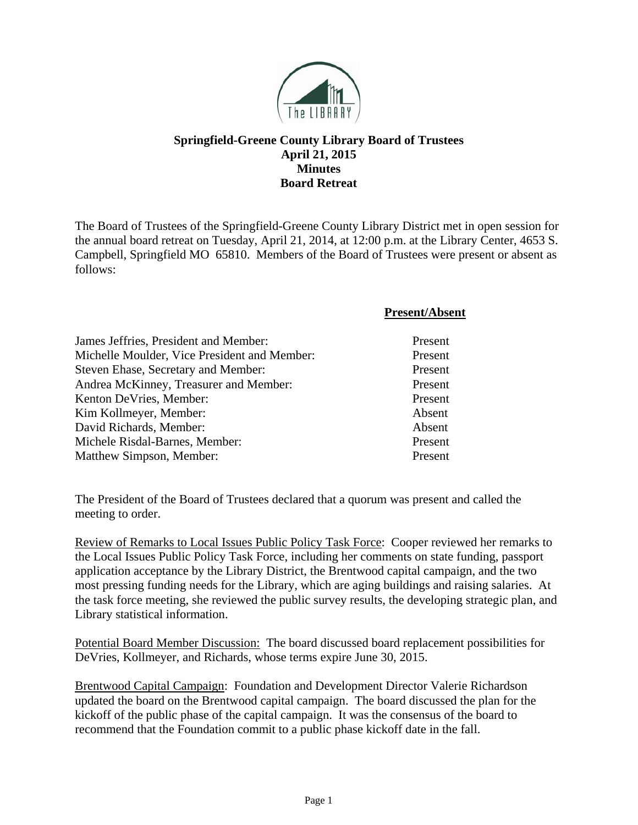

## **Springfield-Greene County Library Board of Trustees April 21, 2015 Minutes Board Retreat**

The Board of Trustees of the Springfield-Greene County Library District met in open session for the annual board retreat on Tuesday, April 21, 2014, at 12:00 p.m. at the Library Center, 4653 S. Campbell, Springfield MO 65810. Members of the Board of Trustees were present or absent as follows:

|                                              | <b>Present/Absent</b> |
|----------------------------------------------|-----------------------|
| James Jeffries, President and Member:        | Present               |
| Michelle Moulder, Vice President and Member: | Present               |
| Steven Ehase, Secretary and Member:          | Present               |
| Andrea McKinney, Treasurer and Member:       | Present               |
| Kenton DeVries, Member:                      | Present               |
| Kim Kollmeyer, Member:                       | Absent                |
| David Richards, Member:                      | Absent                |
| Michele Risdal-Barnes, Member:               | Present               |
| Matthew Simpson, Member:                     | Present               |

The President of the Board of Trustees declared that a quorum was present and called the meeting to order.

Review of Remarks to Local Issues Public Policy Task Force: Cooper reviewed her remarks to the Local Issues Public Policy Task Force, including her comments on state funding, passport application acceptance by the Library District, the Brentwood capital campaign, and the two most pressing funding needs for the Library, which are aging buildings and raising salaries. At the task force meeting, she reviewed the public survey results, the developing strategic plan, and Library statistical information.

Potential Board Member Discussion: The board discussed board replacement possibilities for DeVries, Kollmeyer, and Richards, whose terms expire June 30, 2015.

Brentwood Capital Campaign: Foundation and Development Director Valerie Richardson updated the board on the Brentwood capital campaign. The board discussed the plan for the kickoff of the public phase of the capital campaign. It was the consensus of the board to recommend that the Foundation commit to a public phase kickoff date in the fall.